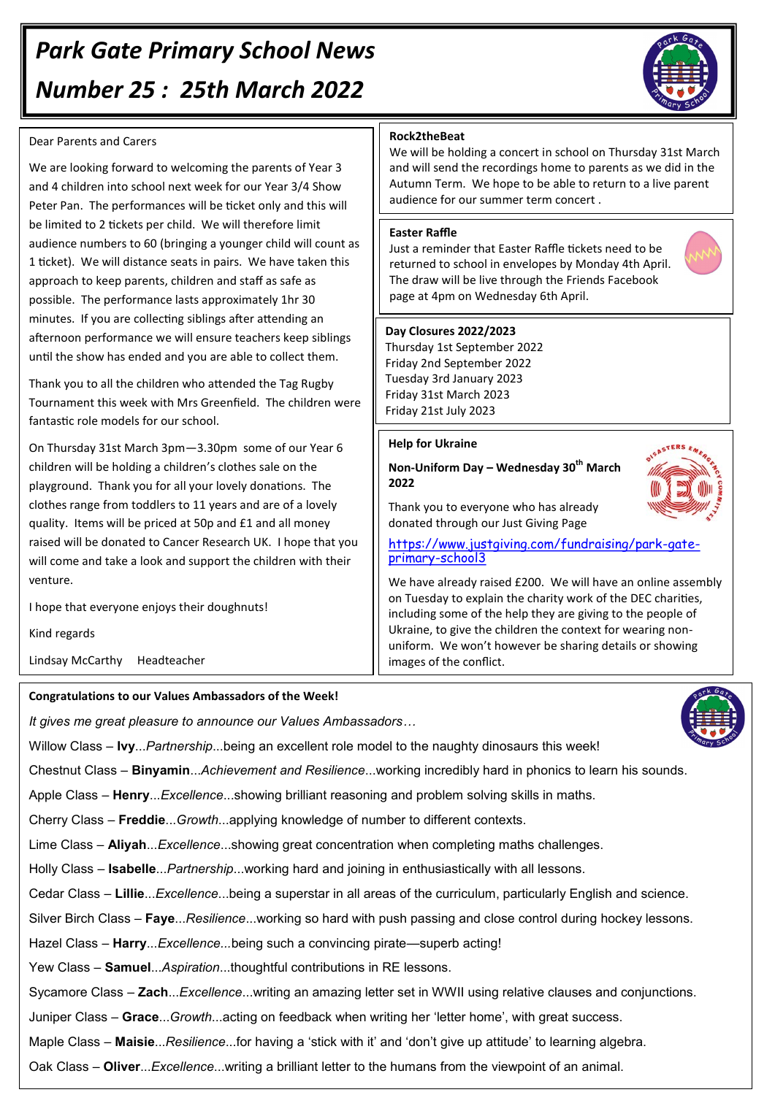# *Park Gate Primary School News Number 25 : 25th March 2022*

#### Dear Parents and Carers

We are looking forward to welcoming the parents of Year 3 and 4 children into school next week for our Year 3/4 Show Peter Pan. The performances will be ticket only and this will be limited to 2 tickets per child. We will therefore limit audience numbers to 60 (bringing a younger child will count as 1 ticket). We will distance seats in pairs. We have taken this approach to keep parents, children and staff as safe as possible. The performance lasts approximately 1hr 30 minutes. If you are collecting siblings after attending an afternoon performance we will ensure teachers keep siblings until the show has ended and you are able to collect them.

Thank you to all the children who attended the Tag Rugby Tournament this week with Mrs Greenfield. The children were fantastic role models for our school.

On Thursday 31st March 3pm—3.30pm some of our Year 6 children will be holding a children's clothes sale on the playground. Thank you for all your lovely donations. The clothes range from toddlers to 11 years and are of a lovely quality. Items will be priced at 50p and £1 and all money raised will be donated to Cancer Research UK. I hope that you will come and take a look and support the children with their venture.

I hope that everyone enjoys their doughnuts!

Kind regards

Lindsay McCarthy Headteacher

## **Congratulations to our Values Ambassadors of the Week!**

*It gives me great pleasure to announce our Values Ambassadors…*

Willow Class – **Ivy**...*Partnership*...being an excellent role model to the naughty dinosaurs this week!

Chestnut Class – **Binyamin**...*Achievement and Resilience*...working incredibly hard in phonics to learn his sounds.

Apple Class – **Henry**...*Excellence*...showing brilliant reasoning and problem solving skills in maths.

Cherry Class – **Freddie**...*Growth*...applying knowledge of number to different contexts.

Lime Class – **Aliyah**...*Excellence*...showing great concentration when completing maths challenges.

Holly Class – **Isabelle**...*Partnership*...working hard and joining in enthusiastically with all lessons.

Cedar Class – **Lillie**...*Excellence*...being a superstar in all areas of the curriculum, particularly English and science.

Silver Birch Class – **Faye**...*Resilience*...working so hard with push passing and close control during hockey lessons.

Hazel Class *–* **Harry**...*Excellence...*being such a convincing pirate—superb acting!

Yew Class – **Samuel**...*Aspiration*...thoughtful contributions in RE lessons.

Sycamore Class – **Zach**...*Excellence*...writing an amazing letter set in WWII using relative clauses and conjunctions.

Juniper Class – **Grace**...*Growth*...acting on feedback when writing her 'letter home', with great success.

Maple Class – **Maisie**...*Resilience*...for having a 'stick with it' and 'don't give up attitude' to learning algebra.

Oak Class – **Oliver**...*Excellence*...writing a brilliant letter to the humans from the viewpoint of an animal.

# **Rock2theBeat**

We will be holding a concert in school on Thursday 31st March and will send the recordings home to parents as we did in the Autumn Term. We hope to be able to return to a live parent audience for our summer term concert .

# **Easter Raffle**

Just a reminder that Easter Raffle tickets need to be returned to school in envelopes by Monday 4th April. The draw will be live through the Friends Facebook page at 4pm on Wednesday 6th April.

#### **Day Closures 2022/2023**

Thursday 1st September 2022 Friday 2nd September 2022 Tuesday 3rd January 2023 Friday 31st March 2023 Friday 21st July 2023

### **Help for Ukraine**

**Non-Uniform Day – Wednesday 30th March 2022**

Thank you to everyone who has already donated through our Just Giving Page



[https://www.justgiving.com/fundraising/park](https://www.justgiving.com/fundraising/park-gate-primary-school3)-gate[primary](https://www.justgiving.com/fundraising/park-gate-primary-school3)-school3

We have already raised £200. We will have an online assembly on Tuesday to explain the charity work of the DEC charities, including some of the help they are giving to the people of Ukraine, to give the children the context for wearing nonuniform. We won't however be sharing details or showing images of the conflict.